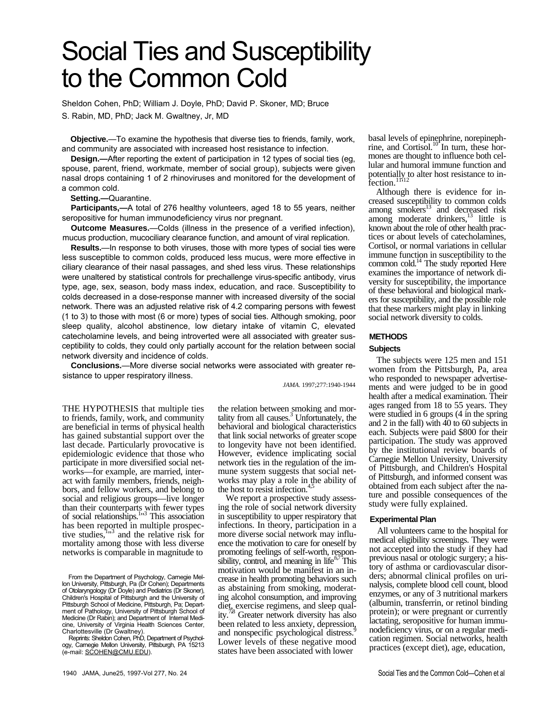# Social Ties and Susceptibility to the Common Cold

Sheldon Cohen, PhD; William J. Doyle, PhD; David P. Skoner, MD; Bruce

S. Rabin, MD, PhD; Jack M. Gwaltney, Jr, MD

**Objective.**—To examine the hypothesis that diverse ties to friends, family, work, and community are associated with increased host resistance to infection.

**Design.—**After reporting the extent of participation in 12 types of social ties (eg, spouse, parent, friend, workmate, member of social group), subjects were given nasal drops containing 1 of 2 rhinoviruses and monitored for the development of a common cold.

**Setting.—**Quarantine.

**Participants,—**A total of 276 healthy volunteers, aged 18 to 55 years, neither seropositive for human immunodeficiency virus nor pregnant.

**Outcome Measures.**—Colds (illness in the presence of a verified infection), mucus production, mucociliary clearance function, and amount of viral replication.

**Results.**—In response to both viruses, those with more types of social ties were less susceptible to common colds, produced less mucus, were more effective in ciliary clearance of their nasal passages, and shed less virus. These relationships were unaltered by statistical controls for prechallenge virus-specific antibody, virus type, age, sex, season, body mass index, education, and race. Susceptibility to colds decreased in a dose-response manner with increased diversity of the social network. There was an adjusted relative risk of 4.2 comparing persons with fewest (1 to 3) to those with most (6 or more) types of social ties. Although smoking, poor sleep quality, alcohol abstinence, low dietary intake of vitamin C, elevated catecholamine levels, and being introverted were all associated with greater susceptibility to colds, they could only partially account for the relation between social network diversity and incidence of colds.

**Conclusions.**—More diverse social networks were associated with greater resistance to upper respiratory illness.

*JAMA.* 1997;277:1940-1944

THE HYPOTHESIS that multiple ties to friends, family, work, and community are beneficial in terms of physical health has gained substantial support over the last decade. Particularly provocative is epidemiologic evidence that those who participate in more diversified social networks—for example, are married, interact with family members, friends, neighbors, and fellow workers, and belong to social and religious groups—live longer than their counterparts with fewer types of social relationships.<sup>1</sup><sup>13</sup> This association has been reported in multiple prospective studies,  $1^{1/3}$  and the relative risk for mortality among those with less diverse networks is comparable in magnitude to

Charlottesville (Dr Gwaltney). Reprints: Sheldon Cohen, PhD, Department of Psychology, Carnegie Mellon University, Pittsburgh, PA 15213 (e-mail: SCOHEN@CMU.EDU).

the relation between smoking and mortality from all causes. $3$  Unfortunately, the behavioral and biological characteristics that link social networks of greater scope to longevity have not been identified. However, evidence implicating social network ties in the regulation of the immune system suggests that social networks may play a role in the ability of the host to resist infection.<sup>4</sup>

We report a prospective study assessing the role of social network diversity in susceptibility to upper respiratory that infections. In theory, participation in a more diverse social network may influence the motivation to care for oneself by promoting feelings of self-worth, responsibility, control, and meaning in life.<sup>6,7</sup> This motivation would be manifest in an increase in health promoting behaviors such as abstaining from smoking, moderating alcohol consumption, and improving diet, exercise regimens, and sleep qual $ity.<sup>7</sup>$ 8 Greater network diversity has also been related to less anxiety, depression, and nonspecific psychological distress.<sup>9</sup> Lower levels of these negative mood states have been associated with lower

basal levels of epinephrine, norepinephrine, and Cortisol. $10^{\circ}$  In turn, these hormones are thought to influence both cellular and humoral immune function and potentially to alter host resistance to infection.<sup>11,12</sup>

Although there is evidence for increased susceptibility to common colds among smokers $^{13}$  and decreased risk among moderate drinkers, $\frac{13}{13}$  little is known about the role of other health practices or about levels of catecholamines, Cortisol, or normal variations in cellular immune function in susceptibility to the common cold.<sup>14</sup> The study reported Here examines the importance of network diversity for susceptibility, the importance of these behavioral and biological markers for susceptibility, and the possible role that these markers might play in linking social network diversity to colds.

#### **METHODS**

#### **Subjects**

The subjects were 125 men and 151 women from the Pittsburgh, Pa, area who responded to newspaper advertisements and were judged to be in good health after a medical examination. Their ages ranged from 18 to 55 years. They were studied in 6 groups (4 in the spring and 2 in the fall) with 40 to 60 subjects in each. Subjects were paid \$800 for their participation. The study was approved by the institutional review boards of Carnegie Mellon University, University of Pittsburgh, and Children's Hospital of Pittsburgh, and informed consent was obtained from each subject after the nature and possible consequences of the study were fully explained.

#### **Experimental Plan**

All volunteers came to the hospital for medical eligibility screenings. They were not accepted into the study if they had previous nasal or otologic surgery; a history of asthma or cardiovascular disorders; abnormal clinical profiles on urinalysis, complete blood cell count, blood enzymes, or any of 3 nutritional markers (albumin, transferrin, or retinol binding protein); or were pregnant or currently lactating, seropositive for human immunodeficiency virus, or on a regular medication regimen. Social networks, health practices (except diet), age, education,

From the Department of Psychology, Carnegie Mellon University, Pittsburgh, Pa (Dr Cohen); Departments of Otolaryngology (Dr Doyle) and Pediatrics (Dr Skoner), Children's Hospital of Pittsburgh and the University of Pittsburgh School of Medicine, Pittsburgh, Pa; Department of Pathology, University of Pittsburgh School of Medicine (Dr Rabin); and Department of Internal Medicine, University of Virginia Health Sciences Center,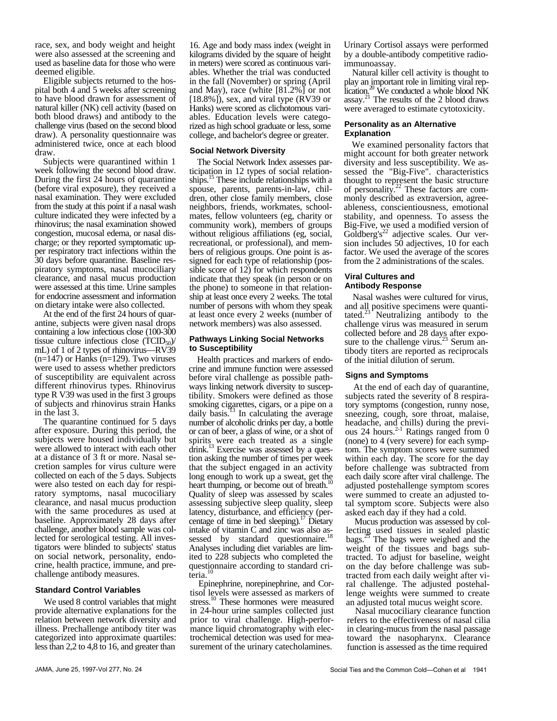race, sex, and body weight and height were also assessed at the screening and used as baseline data for those who were deemed eligible.

Eligible subjects returned to the hospital both 4 and 5 weeks after screening to have blood drawn for assessment of natural killer (NK) cell activity (based on both blood draws) and antibody to the challenge virus (based on the second blood draw). A personality questionnaire was administered twice, once at each blood draw.

Subjects were quarantined within 1 week following the second blood draw. During the first 24 hours of quarantine (before viral exposure), they received a nasal examination. They were excluded from the study at this point if a nasal wash culture indicated they were infected by a rhinovirus; the nasal examination showed congestion, mucosal edema, or nasal discharge; or they reported symptomatic upper respiratory tract infections within the 30 days before quarantine. Baseline respiratory symptoms, nasal mucociliary clearance, and nasal mucus production were assessed at this time. Urine samples for endocrine assessment and information on dietary intake were also collected.

At the end of the first 24 hours of quarantine, subjects were given nasal drops containing a low infectious close (100-300 tissue culture infectious close  $(TCID<sub>50</sub>)$ / mL) of 1 of 2 types of rhinovirus—RV39 (n=147) or Hanks (n=129). Two viruses were used to assess whether predictors of susceptibility are equivalent across different rhinovirus types. Rhinovirus type R V39 was used in the first 3 groups of subjects and rhinovirus strain Hanks in the last 3.

The quarantine continued for 5 days after exposure. During this period, the subjects were housed individually but were allowed to interact with each other at a distance of 3 ft or more. Nasal secretion samples for virus culture were collected on each of the 5 days. Subjects were also tested on each day for respiratory symptoms, nasal mucociliary clearance, and nasal mucus production with the same procedures as used at baseline. Approximately 28 days after challenge, another blood sample was collected for serological testing. All investigators were blinded to subjects' status on social network, personality, endocrine, health practice, immune, and prechallenge antibody measures.

## **Standard Control Variables**

We used 8 control variables that might provide alternative explanations for the relation between network diversity and illness. Prechallenge antibody titer was categorized into approximate quartiles: less than 2,2 to 4,8 to 16, and greater than

16. Age and body mass index (weight in kilograms divided by the square of height in meters) were scored as continuous variables. Whether the trial was conducted in the fall (November) or spring (April and May), race (white [81.2%] or not [18.8%]), sex, and viral type (RV39 or Hanks) were scored as clichotomous variables. Education levels were categorized as high school graduate or less, some college, and bachelor's degree or greater.

#### **Social Network Diversity**

The Social Network Index assesses participation in 12 types of social relationships.<sup>15</sup> These include relationships with a spouse, parents, parents-in-law, children, other close family members, close neighbors, friends, workmates, schoolmates, fellow volunteers (eg, charity or community work), members of groups without religious affiliations (eg, social, recreational, or professional), and members of religious groups. One point is assigned for each type of relationship (possible score of 12) for which respondents indicate that they speak (in person or on the phone) to someone in that relationship at least once every 2 weeks. The total number of persons with whom they speak at least once every 2 weeks (number of network members) was also assessed.

#### **Pathways Linking Social Networks to Susceptibility**

Health practices and markers of endocrine and immune function were assessed before viral challenge as possible pathways linking network diversity to susceptibility. Smokers were defined as those smoking cigarettes, cigars, or a pipe on a daily basis. $^{13}$  In calculating the average number of alcoholic drinks per day, a bottle or can of beer, a glass of wine, or a shot of spirits were each treated as a single drink.<sup>13</sup> Exercise was assessed by a question asking the number of times per week that the subject engaged in an activity long enough to work up a sweat, get the heart thumping, or become out of breath.<sup>1</sup> Quality of sleep was assessed by scales assessing subjective sleep quality, sleep latency, disturbance, and efficiency (percentage of time in bed sleeping).<sup>17</sup> Dietary intake of vitamin C and zinc was also assessed by standard questionnaire. Analyses including diet variables are limited to 228 subjects who completed the questionnaire according to standard cri- $\text{teria.}^1$ 

Epinephrine, norepinephrine, and Cortisol levels were assessed as markers of stress.<sup>10</sup> These hormones were measured in 24-hour urine samples collected just prior to viral challenge. High-performance liquid chromatography with electrochemical detection was used for measurement of the urinary catecholamines.

Urinary Cortisol assays were performed by a double-antibody competitive radioimmunoassay.

Natural killer cell activity is thought to play an important role in limiting viral replication.<sup>20</sup> We conducted a whole blood NK assay.<sup>21</sup> The results of the 2 blood draws were averaged to estimate cytotoxicity.

## **Personality as an Alternative Explanation**

We examined personality factors that might account for both greater network diversity and less susceptibility. We assessed the "Big-Five". characteristics thought to represent the basic structure of personality. $^{22}$  These factors are commonly described as extraversion, agreeableness, conscientiousness, emotional stability, and openness. To assess the Big-Five, we used a modified version of  $G$ oldberg's<sup>22</sup> adjective scales. Our version includes 50 adjectives, 10 for each factor. We used the average of the scores from the 2 administrations of the scales.

# **Viral Cultures and Antibody Response**

Nasal washes were cultured for virus, and all positive specimens were quantitated.<sup>23</sup> Neutralizing antibody to the challenge virus was measured in serum collected before and 28 days after exposure to the challenge virus.<sup>23</sup> Serum antibody titers are reported as reciprocals of the initial dilution of serum.

## **Signs and Symptoms**

At the end of each day of quarantine, subjects rated the severity of 8 respiratory symptoms (congestion, runny nose, sneezing, cough, sore throat, malaise, headache, and chills) during the previous 24 hours. $2-1$  Ratings ranged from 0 (none) to 4 (very severe) for each symptom. The symptom scores were summed within each day. The score for the day before challenge was subtracted from each daily score after viral challenge. The adjusted postehallenge symptom scores were summed to create an adjusted total symptom score. Subjects were also asked each day if they had a cold.

Mucus production was assessed by collecting used tissues in sealed plastic bags.<sup>25</sup> The bags were weighed and the weight of the tissues and bags subtracted. To adjust for baseline, weight on the day before challenge was subtracted from each daily weight after viral challenge. The adjusted postehallenge weights were summed to create an adjusted total mucus weight score.

Nasal mucociliary clearance function refers to the effectiveness of nasal cilia in clearing-mucus from the nasal passage toward the nasopharynx. Clearance function is assessed as the time required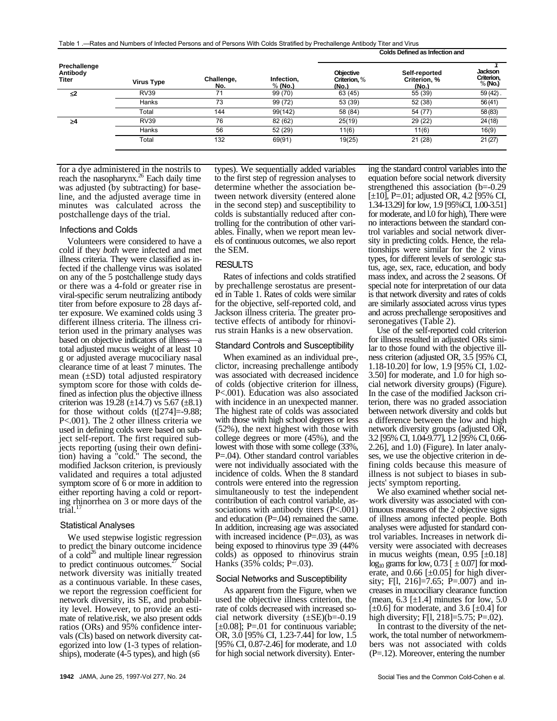Table 1 .—Rates and Numbers of Infected Persons and of Persons With Colds Stratified by Prechallenge Antibody Titer and Virus

| Prechallenge<br>Antibody<br>Titer | <b>Virus Type</b> | Challenge,<br>No. | Infection,<br>% (No.) | <b>Objective</b><br>Criterion, %<br>(No.) | Self-reported<br>Criterion, %<br>(No.) | <b>Jackson</b><br>Criterion,<br>$%$ (No.) |
|-----------------------------------|-------------------|-------------------|-----------------------|-------------------------------------------|----------------------------------------|-------------------------------------------|
| $\leq$                            | <b>RV39</b>       | 71                | 99 (70)               | 63 (45)                                   | 55 (39)                                | $59(42)$ .                                |
|                                   | Hanks             | 73                | 99 (72)               | 53 (39)                                   | 52 (38)                                | 56(41)                                    |
|                                   | Total             | 144               | 99(142)               | 58 (84)                                   | 54 (77)                                | 58 (83)                                   |
| $\geq 4$                          | <b>RV39</b>       | 76                | 82 (62)               | 25(19)                                    | 29 (22)                                | 24(18)                                    |
|                                   | Hanks             | 56                | 52 (29)               | 11(6)                                     | 11(6)                                  | 16(9)                                     |
|                                   | Total             | 132               | 69(91)                | 19(25)                                    | 21(28)                                 | 21(27)                                    |

for a dye administered in the nostrils to reach the nasopharynx.<sup>26</sup> Each daily time was adjusted (by subtracting) for baseline, and the adjusted average time in minutes was calculated across the postchallenge days of the trial.

#### Infections and Colds

Volunteers were considered to have a cold if they *both* were infected and met illness criteria. They were classified as infected if the challenge virus was isolated on any of the 5 postchallenge study days or there was a 4-fold or greater rise in viral-specific serum neutralizing antibody titer from before exposure to 28 days after exposure. We examined colds using 3 different illness criteria. The illness criterion used in the primary analyses was based on objective indicators of illness—a total adjusted mucus weight of at least 10 g or adjusted average mucociliary nasal clearance time of at least 7 minutes. The mean  $(\pm SD)$  total adjusted respiratory symptom score for those with colds defined as infection plus the objective illness criterion was 19.28  $(\pm 14.7)$  vs 5.67  $(\pm 8.1)$ for those without colds (t[274]=-9.88; P<.001). The 2 other illness criteria we used in defining colds were based on subject self-report. The first required subjects reporting (using their own definition) having a "cold." The second, the modified Jackson criterion, is previously validated and requires a total adjusted symptom score of 6 or more in addition to either reporting having a cold or reporting rhinorrhea on 3 or more days of the trial.

## Statistical Analyses

We used stepwise logistic regression to predict the binary outcome incidence of a cold<sup>26</sup> and multiple linear regression to predict continuous outcomes.<sup>27</sup> Social network diversity was initially treated as a continuous variable. In these cases, we report the regression coefficient for network diversity, its SE, and probability level. However, to provide an estimate of relative.risk, we also present odds ratios (ORs) and 95% confidence intervals (CIs) based on network diversity categorized into low (1-3 types of relationships), moderate (4-5 types), and high (s6

types). We sequentially added variables to the first step of regression analyses to determine whether the association between network diversity (entered alone in the second step) and susceptibility to colds is substantially reduced after controlling for the contribution of other variables. Finally, when we report mean levels of continuous outcomes, we also report the SEM.

# RESULTS

Rates of infections and colds stratified by prechallenge serostatus are presented in Table 1. Rates of colds were similar for the objective, self-reported cold, and Jackson illness criteria. The greater protective effects of antibody for rhinovirus strain Hanks is a new observation.

## Standard Controls and Susceptibility

When examined as an individual pre-, clictor, increasing prechallenge antibody was associated with decreased incidence of colds (objective criterion for illness, P<.001). Education was also associated with incidence in an unexpected manner. The highest rate of colds was associated with those with high school degrees or less (52%), the next highest with those with college degrees or more (45%), and the lowest with those with some college (33%, P=.04). Other standard control variables were not individually associated with the incidence of colds. When the 8 standard controls were entered into the regression simultaneously to test the independent contribution of each control variable, associations with antibody titers (P<.001) and education (P=.04) remained the same. In addition, increasing age was associated with increased incidence (P=.03), as was being exposed to rhinovirus type 39 (44% colds) as opposed to rhinovirus strain Hanks  $(35\% \text{ colds}; P=.03)$ .

## Social Networks and Susceptibility

As apparent from the Figure, when we used the objective illness criterion, the rate of colds decreased with increased social network diversity (±SE)(b=-0.19  $[\pm 0.08]$ ; P=.01 for continuous variable; OR, 3.0 [95% CI, 1.23-7.44] for low, 1.5 [95% CI, 0.87-2.46] for moderate, and 1.0 for high social network diversity). Enter-

ing the standard control variables into the equation before social network diversity strengthened this association (b=-0.29 [ $\pm$ 10], P=.01; adjusted OR, 4.2 [95% CI, 1.34-13.29] for low, 1.9 [95%CI, 1.00-3.51] for moderate, and l.0 for high), There were no interactions between the standard control variables and social network diversity in predicting colds. Hence, the relationships were similar for the 2 virus types, for different levels of serologic status, age, sex, race, education, and body mass index, and across the 2 seasons. Of special note for interpretation of our data is that network diversity and rates of colds are similarly associated across virus types and across prechallenge seropositives and seronegatives (Table 2).

**Colds Defined as Infection and**

Use of the self-reported cold criterion for illness resulted in adjusted ORs similar to those found with the objective illness criterion (adjusted OR, 3.5 [95% CI, 1.18-10.20] for low, 1.9 [95% CI, 1.02- 3.50] for moderate, and 1.0 for high social network diversity groups) (Figure). In the case of the modified Jackson criterion, there was no graded association between network diversity and colds but a difference between the low and high network diversity groups (adjusted OR, 3.2 [95% CI, 1.04-9.77], 1.2 [95% CI, 0.66- 2.26], and 1.0) (Figure). In later analyses, we use the objective criterion in defining colds because this measure of illness is not subject to biases in subjects' symptom reporting.

We also examined whether social network diversity was associated with continuous measures of the 2 objective signs of illness among infected people. Both analyses were adjusted for standard control variables. Increases in network diversity were associated with decreases in mucus weights (mean,  $0.95$  [ $\pm 0.18$ ]  $log_{10}$  grams for low, 0.73 [  $\pm$  0.07] for moderate, and  $0.66$  [ $\pm 0.05$ ] for high diversity; F[l, 216]=7.65; P=.007) and increases in mucociliary clearance function (mean,  $6.3$  [ $\pm$ 1.4] minutes for low,  $5.0$  $[\pm 0.6]$  for moderate, and 3.6  $[\pm 0.4]$  for high diversity; F[1, 218]=5.75; P=.02).

In contrast to the diversity of the network, the total number of networkmembers was not associated with colds (P=.12). Moreover, entering the number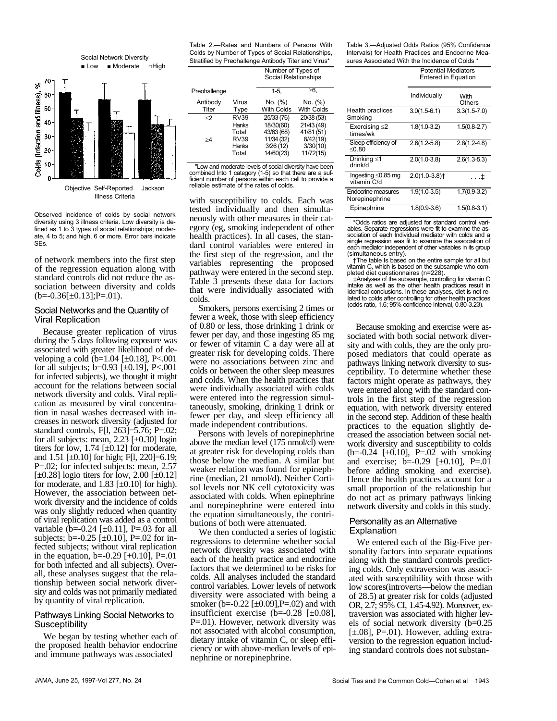

Observed incidence of colds by social network diversity using 3 illness criteria. Low diversity is defined as 1 to 3 types of social relationships; moderate, 4 to 5; and high, 6 or more. Error bars indicate SEs.

of network members into the first step of the regression equation along with standard controls did not reduce the association between diversity and colds  $(b=-0.36[\pm 0.13]; P=.01)$ .

#### Social Networks and the Quantity of Viral Replication

Because greater replication of virus during the 5 days following exposure was associated with greater likelihood of developing a cold  $(b=1.04 \text{ [}\pm 0.18\text{], }P<.001$ for all subjects; b=0.93 [±0.19], P<.001 for infected subjects), we thought it might account for the relations between social network diversity and colds. Viral replication as measured by viral concentration in nasal washes decreased with increases in network diversity (adjusted for standard controls, F[l, 263]=5.76; P=.02; for all subjects: mean,  $2.23$  [ $\pm$ 0.30] login titers for low, 1.74  $[\pm 0.12]$  for moderate, and  $1.51$  [ $\pm 0.10$ ] for high; F[1, 220]=6.19; P=.02; for infected subjects: mean, 2.57  $[\pm 0.28]$  logio titers for low, 2.00  $[\pm 0.12]$ for moderate, and  $1.83$  [ $\pm 0.10$ ] for high). However, the association between network diversity and the incidence of colds was only slightly reduced when quantity of viral replication was added as a control variable (b= $-0.24$  [ $\pm 0.11$ ], P= $.03$  for all subjects; b= $-0.25$  [ $\pm 0.10$ ], P= $.02$  for infected subjects; without viral replication in the equation,  $b=-0.29$  [+0.10], P=.01 for both infected and all subjects). Overall, these analyses suggest that the relationship between social network diversity and colds was not primarily mediated by quantity of viral replication.

# Pathways Linking Social Networks to **Susceptibility**

We began by testing whether each of the proposed health behavior endocrine and immune pathways was associated

Table 2.—Rates and Numbers of Persons With Colds by Number of Types of Social Relationships, Stratified by Preohallenge Antibody Titer and Virus\* Number of Types of

Social Relationships

| Preohallenge      |                                                        | $1-5.$                                                         | ≥6.                                                           |
|-------------------|--------------------------------------------------------|----------------------------------------------------------------|---------------------------------------------------------------|
| Antibody<br>Titer | Virus<br>Type                                          | No. (%)<br><b>With Colds</b>                                   | No. (%)<br><b>With Colds</b>                                  |
| $\mathcal{L}$     | <b>RV39</b>                                            | 25/33 (76)                                                     | 20/38 (53)                                                    |
| >4                | <b>Hanks</b><br>Total<br>RV39<br><b>Hanks</b><br>Total | 18/30(60)<br>43/63 (68)<br>11/34 (32)<br>3/26(12)<br>14/60(23) | 21/43 (49)<br>41/81 (51)<br>8/42(19)<br>3/30(10)<br>11/72(15) |

"Low and moderate levels of social diversity have been combined Into 1 category (1-5) so that there are a sufficient number of persons within each cell to provide a reliable estimate of the rates of colds.

with susceptibility to colds. Each was tested individually and then simultaneously with other measures in their category (eg, smoking independent of other health practices). In all cases, the standard control variables were entered in the first step of the regression, and the variables representing the proposed pathway were entered in the second step. Table 3 presents these data for factors that were individually associated with colds.

Smokers, persons exercising 2 times or fewer a week, those with sleep efficiency of 0.80 or less, those drinking 1 drink or fewer per day, and those ingesting 85 mg or fewer of vitamin C a day were all at greater risk for developing colds. There were no associations between zinc and colds or between the other sleep measures and colds. When the health practices that were individually associated with colds were entered into the regression simultaneously, smoking, drinking 1 drink or fewer per day, and sleep efficiency all made independent contributions.

Persons with levels of norepinephrine above the median level (175 nmol/cl) were at greater risk for developing colds than those below the median. A similar but weaker relation was found for epinephrine (median, 21 nmol/d). Neither Cortisol levels nor NK cell cytotoxicity was associated with colds. When epinephrine and norepinephrine were entered into the equation simultaneously, the contributions of both were attenuated.

We then conducted a series of logistic regressions to determine whether social network diversity was associated with each of the health practice and endocrine factors that we determined to be risks for colds. All analyses included the standard control variables. Lower levels of network diversity were associated with being a smoker (b=-0.22 [±0.09],P=.02) and with insufficient exercise (b=-0.28 [±0.08], P=.01). However, network diversity was not associated with alcohol consumption, dietary intake of vitamin C, or sleep efficiency or with above-median levels of epinephrine or norepinephrine.

Table 3.—Adjusted Odds Ratios (95% Confidence Intervals) for Health Practices and Endocrine Measures Associated With the Incidence of Colds \*

> Potential Mediators Entered in Equation

Individually With **Others** Health practices Smoking 3.0(1.5-6.1) 3.3(1.5-7.0) Exercising ≤2 times/wk 1.8(1.0-3.2) 1.5(0.8-2.7) Sleep efficiency of ≤0.80 2.6(1.2-5.8) 2.8(1.2-4.8) Drinking ≤1<br>drink/d  $2.0(1.0-3.8)$   $2.6(1.3-5.3)$ Ingesting ≤0.85 mg vitamin C/d  $2.0(1.0-3.8)$ †  $\qquad \qquad \downarrow$ Endocrine measures Norepinephrine 1.9(1.0-3.5) 1.7(0.9-3.2)

\*Odds ratios are adjusted for standard control variables. Separate regressions were fit to examine the association of each Individual mediator with colds and a single regression was fit to examine the association of each mediator independent of other variables in its group (simultaneous entry). †The table Is based on the entire sample for all but

Epinephrine 1.8(0.9-3.6) 1.5(0.8-3.1)

vitamin C, which is based on the subsample who completed diet questionnaires (n=228).

‡Analyses of the subsample, controlling for vitamin C intake as well as the other health practices result in identical conclusions. In these analyses, diet is not related to colds after controlling for other health practices (odds ratio, 1.6; 95% confidence Interval, 0.80-3.23).

Because smoking and exercise were associated with both social network diversity and with colds, they are the only proposed mediators that could operate as pathways linking network diversity to susceptibility. To determine whether these factors might operate as pathways, they were entered along with the standard controls in the first step of the regression equation, with network diversity entered in the second step. Addition of these health practices to the equation slightly decreased the association between social network diversity and susceptibility to colds  $(b=-0.24$  [ $\pm 0.10$ ], P=.02 with smoking and exercise;  $b = -0.29$  [ $\pm 0.10$ ], P=.01 before adding smoking and exercise). Hence the health practices account for a small proportion of the relationship but do not act as primary pathways linking network diversity and colds in this study.

# Personality as an Alternative Explanation

We entered each of the Big-Five personality factors into separate equations along with the standard controls predicting colds. Only extraversion was associated with susceptibility with those with low scores(introverts—below the median of 28.5) at greater risk for colds (adjusted OR, 2.7; 95% CI, 1.45-4.92). Moreover, extraversion was associated with higher levels of social network diversity (b=0.25  $[\pm.08]$ , P=.01). However, adding extraversion to the regression equation including standard controls does not substan-